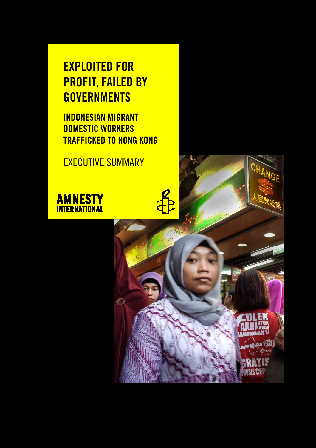# **EXPLOITED FOR PROFIT, FAILED BY GOVERNMENTS**

**INDONESIAN MIGRANT DOMESTIC WORKERS TRAFFICKED TO HONG KONG** 

EXECUTIVE SUMMARY



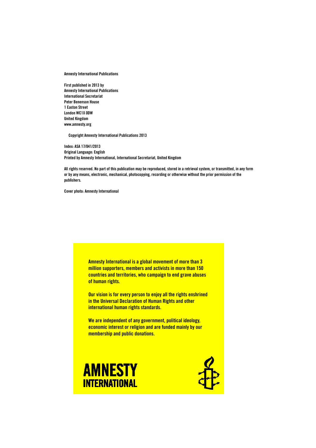**Amnesty International Publications** 

**First published in 2013 by Amnesty International Publications International Secretariat Peter Benenson House 1 Easton Street London WC1X 0DW United Kingdom www.amnesty.org** 

 **Copyright Amnesty International Publications 2013** 

**Index: ASA 17/041/2013 Original Language: English Printed by Amnesty International, International Secretariat, United Kingdom** 

**All rights reserved. No part of this publication may be reproduced, stored in a retrieval system, or transmitted, in any form or by any means, electronic, mechanical, photocopying, recording or otherwise without the prior permission of the publishers.** 

**Cover photo: Amnesty International** 

**Amnesty International is a global movement of more than 3 million supporters, members and activists in more than 150 countries and territories, who campaign to end grave abuses of human rights.** 

**Our vision is for every person to enjoy all the rights enshrined in the Universal Declaration of Human Rights and other international human rights standards.** 

**We are independent of any government, political ideology, economic interest or religion and are funded mainly by our membership and public donations.**



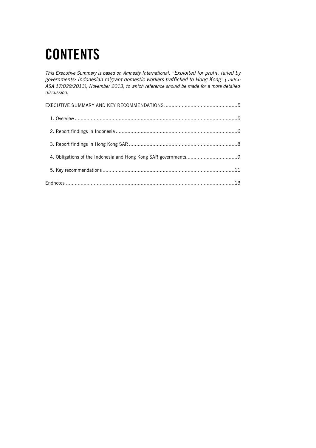# **CONTENTS**

*This Executive Summary is based on Amnesty International, "Exploited for profit, failed by governments: Indonesian migrant domestic workers trafficked to Hong Kong" ( Index: ASA 17/029/2013), November 2013, to which reference should be made for a more detailed discussion.*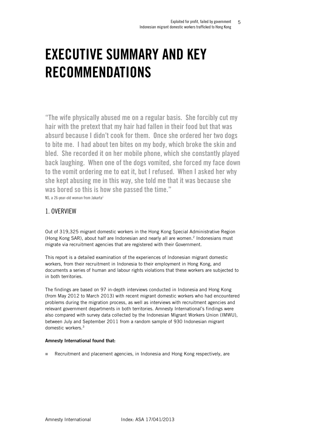# **EXECUTIVE SUMMARY AND KEY RECOMMENDATIONS**

**"The wife physically abused me on a regular basis. She forcibly cut my hair with the pretext that my hair had fallen in their food but that was absurd because I didn't cook for them. Once she ordered her two dogs to bite me. I had about ten bites on my body, which broke the skin and bled. She recorded it on her mobile phone, which she constantly played back laughing. When one of the dogs vomited, she forced my face down to the vomit ordering me to eat it, but I refused. When I asked her why she kept abusing me in this way, she told me that it was because she was bored so this is how she passed the time."**  NS, a 26-year-old woman from Jakarta<sup>1</sup>

## 1. OVERVIEW

Out of 319,325 migrant domestic workers in the Hong Kong Special Administrative Region (Hong Kong SAR), about half are Indonesian and nearly all are women.<sup>2</sup> Indonesians must migrate via recruitment agencies that are registered with their Government.

This report is a detailed examination of the experiences of Indonesian migrant domestic workers, from their recruitment in Indonesia to their employment in Hong Kong, and documents a series of human and labour rights violations that these workers are subjected to in both territories.

The findings are based on 97 in-depth interviews conducted in Indonesia and Hong Kong (from May 2012 to March 2013) with recent migrant domestic workers who had encountered problems during the migration process, as well as interviews with recruitment agencies and relevant government departments in both territories. Amnesty International's findings were also compared with survey data collected by the Indonesian Migrant Workers Union (IMWU), between July and September 2011 from a random sample of 930 Indonesian migrant domestic workers.<sup>3</sup>

#### **Amnesty International found that:**

Recruitment and placement agencies, in Indonesia and Hong Kong respectively, are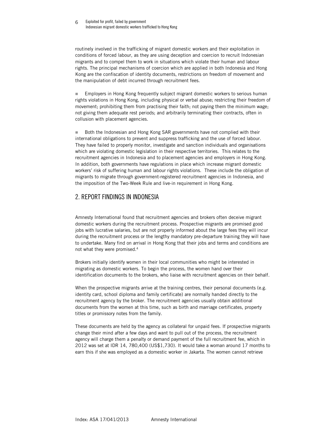#### Exploited for profit, failed by government Indonesian migrant domestic workers trafficked to Hong Kong 6

routinely involved in the trafficking of migrant domestic workers and their exploitation in conditions of forced labour, as they are using deception and coercion to recruit Indonesian migrants and to compel them to work in situations which violate their human and labour rights. The principal mechanisms of coercion which are applied in both Indonesia and Hong Kong are the confiscation of identity documents, restrictions on freedom of movement and the manipulation of debt incurred through recruitment fees.

 Employers in Hong Kong frequently subject migrant domestic workers to serious human rights violations in Hong Kong, including physical or verbal abuse; restricting their freedom of movement; prohibiting them from practising their faith; not paying them the minimum wage; not giving them adequate rest periods; and arbitrarily terminating their contracts, often in collusion with placement agencies.

■ Both the Indonesian and Hong Kong SAR governments have not complied with their international obligations to prevent and suppress trafficking and the use of forced labour. They have failed to properly monitor, investigate and sanction individuals and organisations which are violating domestic legislation in their respective territories. This relates to the recruitment agencies in Indonesia and to placement agencies and employers in Hong Kong. In addition, both governments have regulations in place which increase migrant domestic workers' risk of suffering human and labour rights violations. These include the obligation of migrants to migrate through government-registered recruitment agencies in Indonesia, and the imposition of the Two-Week Rule and live-in requirement in Hong Kong.

## 2. REPORT FINDINGS IN INDONESIA

Amnesty International found that recruitment agencies and brokers often deceive migrant domestic workers during the recruitment process. Prospective migrants are promised good jobs with lucrative salaries, but are not properly informed about the large fees they will incur during the recruitment process or the lengthy mandatory pre-departure training they will have to undertake. Many find on arrival in Hong Kong that their jobs and terms and conditions are not what they were promised.<sup>4</sup>

Brokers initially identify women in their local communities who might be interested in migrating as domestic workers. To begin the process, the women hand over their identification documents to the brokers, who liaise with recruitment agencies on their behalf.

When the prospective migrants arrive at the training centres, their personal documents (e.g. identity card, school diploma and family certificate) are normally handed directly to the recruitment agency by the broker. The recruitment agencies usually obtain additional documents from the women at this time, such as birth and marriage certificates, property titles or promissory notes from the family.

These documents are held by the agency as collateral for unpaid fees. If prospective migrants change their mind after a few days and want to pull out of the process, the recruitment agency will charge them a penalty or demand payment of the full recruitment fee, which in 2012 was set at IDR 14, 780,400 (US\$1,730). It would take a woman around 17 months to earn this if she was employed as a domestic worker in Jakarta. The women cannot retrieve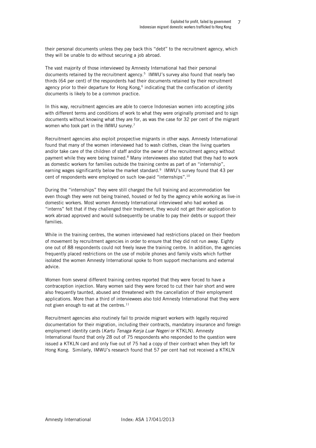their personal documents unless they pay back this "debt" to the recruitment agency, which they will be unable to do without securing a job abroad.

The vast majority of those interviewed by Amnesty International had their personal documents retained by the recruitment agency.<sup>5</sup> IMWU's survey also found that nearly two thirds (64 per cent) of the respondents had their documents retained by their recruitment agency prior to their departure for Hong Kong, $6$  indicating that the confiscation of identity documents is likely to be a common practice.

In this way, recruitment agencies are able to coerce Indonesian women into accepting jobs with different terms and conditions of work to what they were originally promised and to sign documents without knowing what they are for, as was the case for 32 per cent of the migrant women who took part in the IMWU survey.<sup>7</sup>

Recruitment agencies also exploit prospective migrants in other ways. Amnesty International found that many of the women interviewed had to wash clothes, clean the living quarters and/or take care of the children of staff and/or the owner of the recruitment agency without payment while they were being trained.<sup>8</sup> Many interviewees also stated that they had to work as domestic workers for families outside the training centre as part of an "internship", earning wages significantly below the market standard. 9 IMWU's survey found that 43 per cent of respondents were employed on such low-paid "internships".<sup>10</sup>

During the "internships" they were still charged the full training and accommodation fee even though they were not being trained, housed or fed by the agency while working as live-in domestic workers. Most women Amnesty International interviewed who had worked as "interns" felt that if they challenged their treatment, they would not get their application to work abroad approved and would subsequently be unable to pay their debts or support their families.

While in the training centres, the women interviewed had restrictions placed on their freedom of movement by recruitment agencies in order to ensure that they did not run away. Eighty one out of 88 respondents could not freely leave the training centre. In addition, the agencies frequently placed restrictions on the use of mobile phones and family visits which further isolated the women Amnesty International spoke to from support mechanisms and external advice.

Women from several different training centres reported that they were forced to have a contraception injection. Many women said they were forced to cut their hair short and were also frequently taunted, abused and threatened with the cancellation of their employment applications. More than a third of interviewees also told Amnesty International that they were not given enough to eat at the centres. $11$ 

Recruitment agencies also routinely fail to provide migrant workers with legally required documentation for their migration, including their contracts, mandatory insurance and foreign employment identity cards (*Kartu Tenaga Kerja Luar Negeri* or KTKLN). Amnesty International found that only 28 out of 75 respondents who responded to the question were issued a KTKLN card and only five out of 75 had a copy of their contract when they left for Hong Kong. Similarly, IMWU's research found that 57 per cent had not received a KTKLN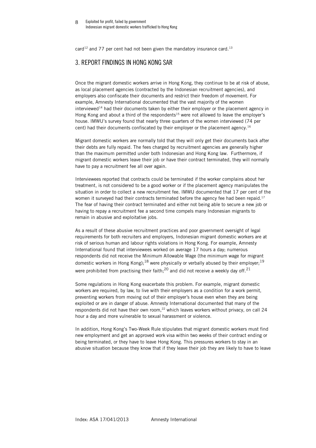card<sup>12</sup> and 77 per cent had not been given the mandatory insurance card.<sup>13</sup>

## 3. REPORT FINDINGS IN HONG KONG SAR

Once the migrant domestic workers arrive in Hong Kong, they continue to be at risk of abuse, as local placement agencies (contracted by the Indonesian recruitment agencies), and employers also confiscate their documents and restrict their freedom of movement. For example, Amnesty International documented that the vast majority of the women  $interviewed<sup>14</sup>$  had their documents taken by either their employer or the placement agency in Hong Kong and about a third of the respondents<sup>15</sup> were not allowed to leave the employer's house. IMWU's survey found that nearly three quarters of the women interviewed (74 per cent) had their documents confiscated by their employer or the placement agency.<sup>16</sup>

Migrant domestic workers are normally told that they will only get their documents back after their debts are fully repaid. The fees charged by recruitment agencies are generally higher than the maximum permitted under both Indonesian and Hong Kong law. Furthermore, if migrant domestic workers leave their job or have their contract terminated, they will normally have to pay a recruitment fee all over again.

Interviewees reported that contracts could be terminated if the worker complains about her treatment, is not considered to be a good worker or if the placement agency manipulates the situation in order to collect a new recruitment fee. IMWU documented that 17 per cent of the women it surveyed had their contracts terminated before the agency fee had been repaid.<sup>17</sup> The fear of having their contract terminated and either not being able to secure a new job or having to repay a recruitment fee a second time compels many Indonesian migrants to remain in abusive and exploitative jobs.

As a result of these abusive recruitment practices and poor government oversight of legal requirements for both recruiters and employers, Indonesian migrant domestic workers are at risk of serious human and labour rights violations in Hong Kong. For example, Amnesty International found that interviewees worked on average 17 hours a day; numerous respondents did not receive the Minimum Allowable Wage (the minimum wage for migrant domestic workers in Hong Kong);<sup>18</sup> were physically or verbally abused by their employer;<sup>19</sup> were prohibited from practising their faith;<sup>20</sup> and did not receive a weekly day off.<sup>21</sup>

Some regulations in Hong Kong exacerbate this problem. For example, migrant domestic workers are required, by law, to live with their employers as a condition for a work permit, preventing workers from moving out of their employer's house even when they are being exploited or are in danger of abuse. Amnesty International documented that many of the respondents did not have their own room,<sup>22</sup> which leaves workers without privacy, on call 24 hour a day and more vulnerable to sexual harassment or violence.

In addition, Hong Kong's Two-Week Rule stipulates that migrant domestic workers must find new employment and get an approved work visa within two weeks of their contract ending or being terminated, or they have to leave Hong Kong. This pressures workers to stay in an abusive situation because they know that if they leave their job they are likely to have to leave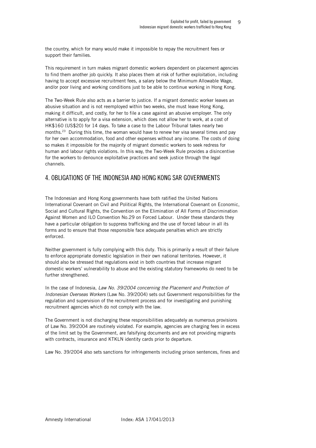the country, which for many would make it impossible to repay the recruitment fees or support their families.

This requirement in turn makes migrant domestic workers dependent on placement agencies to find them another job quickly. It also places them at risk of further exploitation, including having to accept excessive recruitment fees, a salary below the Minimum Allowable Wage, and/or poor living and working conditions just to be able to continue working in Hong Kong.

The Two-Week Rule also acts as a barrier to justice. If a migrant domestic worker leaves an abusive situation and is not reemployed within two weeks, she must leave Hong Kong, making it difficult, and costly, for her to file a case against an abusive employer. The only alternative is to apply for a visa extension, which does not allow her to work, at a cost of HK\$160 (US\$20) for 14 days. To take a case to the Labour Tribunal takes nearly two months.<sup>23</sup> During this time, the woman would have to renew her visa several times and pay for her own accommodation, food and other expenses without any income. The costs of doing so makes it impossible for the majority of migrant domestic workers to seek redress for human and labour rights violations. In this way, the Two-Week Rule provides a disincentive for the workers to denounce exploitative practices and seek justice through the legal channels.

## 4. OBLIGATIONS OF THE INDONESIA AND HONG KONG SAR GOVERNMENTS

The Indonesian and Hong Kong governments have both ratified the United Nations International Covenant on Civil and Political Rights, the International Covenant on Economic, Social and Cultural Rights, the Convention on the Elimination of All Forms of Discrimination Against Women and ILO Convention No.29 on Forced Labour. Under these standards they have a particular obligation to suppress trafficking and the use of forced labour in all its forms and to ensure that those responsible face adequate penalties which are strictly enforced.

Neither government is fully complying with this duty. This is primarily a result of their failure to enforce appropriate domestic legislation in their own national territories. However, it should also be stressed that regulations exist in both countries that increase migrant domestic workers' vulnerability to abuse and the existing statutory frameworks do need to be further strengthened.

In the case of Indonesia, *Law No. 39/2004 concerning the Placement and Protection of Indonesian Overseas Workers* (Law No. 39/2004) sets out Government responsibilities for the regulation and supervision of the recruitment process and for investigating and punishing recruitment agencies which do not comply with the law.

The Government is not discharging these responsibilities adequately as numerous provisions of Law No. 39/2004 are routinely violated. For example, agencies are charging fees in excess of the limit set by the Government, are falsifying documents and are not providing migrants with contracts, insurance and KTKLN identity cards prior to departure.

Law No. 39/2004 also sets sanctions for infringements including prison sentences, fines and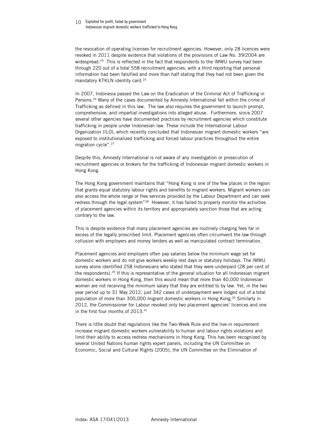#### 10 Exploited for profit, failed by government Indonesian migrant domestic workers trafficked to Hong Kong

the revocation of operating licenses for recruitment agencies. However, only 28 licences were revoked in 2011 despite evidence that violations of the provisions of Law No. 39/2004 are widespread.<sup>24</sup> This is reflected in the fact that respondents to the IMWU survey had been through 220 out of a total 558 recruitment agencies, with a third reporting that personal information had been falsified and more than half stating that they had not been given the mandatory KTKLN identity card.<sup>25</sup>

In 2007, Indonesia passed the Law on the Eradication of the Criminal Act of Trafficking in Persons.<sup>26</sup> Many of the cases documented by Amnesty International fall within the crime of Trafficking as defined in this law. The law also requires the government to launch prompt, comprehensive, and impartial investigations into alleged abuse. Furthermore, since 2007 several other agencies have documented practices by recruitment agencies which constitute trafficking in people under Indonesian law. These include the International Labour Organization (ILO), which recently concluded that Indonesian migrant domestic workers "are exposed to institutionalized trafficking and forced labour practices throughout the entire migration cycle".<sup>27</sup>

Despite this, Amnesty International is not aware of any investigation or prosecution of recruitment agencies or brokers for the trafficking of Indonesian migrant domestic workers in Hong Kong.

The Hong Kong government maintains that "Hong Kong is one of the few places in the region that grants equal statutory labour rights and benefits to migrant workers. Migrant workers can also access the whole range or free services provided by the Labour Department and can seek redress through the legal system"<sup>28</sup> However, it has failed to properly monitor the activities of placement agencies within its territory and appropriately sanction those that are acting contrary to the law.

This is despite evidence that many placement agencies are routinely charging fees far in excess of the legally proscribed limit. Placement agencies often circumvent the law through collusion with employers and money lenders as well as manipulated contract termination.

Placement agencies and employers often pay salaries below the minimum wage set for domestic workers and do not give workers weekly rest days or statutory holidays. The IMWU survey alone identified 258 Indonesians who stated that they were underpaid (28 per cent of the respondents).<sup>29</sup> If this is representative of the general situation for all Indonesian migrant domestic workers in Hong Kong, then this would mean that more than 40,000 Indonesian women are not receiving the minimum salary that they are entitled to by law. Yet, in the two year period up to 31 May 2012, just 342 cases of underpayment were lodged out of a total population of more than 300,000 migrant domestic workers in Hong Kong.<sup>30</sup> Similarly in 2012, the Commissioner for Labour revoked only two placement agencies' licences and one in the first four months of 2013.<sup>31</sup>

There is little doubt that regulations like the Two-Week Rule and the live-in requirement increase migrant domestic workers vulnerability to human and labour rights violations and limit their ability to access redress mechanisms in Hong Kong. This has been recognized by several United Nations human rights expert panels, including the UN Committee on Economic, Social and Cultural Rights (2005), the UN Committee on the Elimination of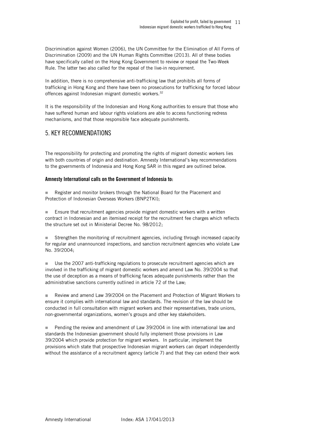Discrimination against Women (2006), the UN Committee for the Elimination of All Forms of Discrimination (2009) and the UN Human Rights Committee (2013). All of these bodies have specifically called on the Hong Kong Government to review or repeal the Two-Week Rule. The latter two also called for the repeal of the live-in requirement.

In addition, there is no comprehensive anti-trafficking law that prohibits all forms of trafficking in Hong Kong and there have been no prosecutions for trafficking for forced labour offences against Indonesian migrant domestic workers.<sup>32</sup>

It is the responsibility of the Indonesian and Hong Kong authorities to ensure that those who have suffered human and labour rights violations are able to access functioning redress mechanisms, and that those responsible face adequate punishments.

## 5. KEY RECOMMENDATIONS

The responsibility for protecting and promoting the rights of migrant domestic workers lies with both countries of origin and destination. Amnesty International's key recommendations to the governments of Indonesia and Hong Kong SAR in this regard are outlined below.

#### **Amnesty International calls on the Government of Indonesia to:**

 Register and monitor brokers through the National Board for the Placement and Protection of Indonesian Overseas Workers (BNP2TKI);

**Ensure that recruitment agencies provide migrant domestic workers with a written** contract in Indonesian and an itemised receipt for the recruitment fee charges which reflects the structure set out in Ministerial Decree No. 98/2012;

**Strengthen the monitoring of recruitment agencies, including through increased capacity** for regular and unannounced inspections, and sanction recruitment agencies who violate Law No. 39/2004;

 Use the 2007 anti-trafficking regulations to prosecute recruitment agencies which are involved in the trafficking of migrant domestic workers and amend Law No. 39/2004 so that the use of deception as a means of trafficking faces adequate punishments rather than the administrative sanctions currently outlined in article 72 of the Law;

 Review and amend Law 39/2004 on the Placement and Protection of Migrant Workers to ensure it complies with international law and standards. The revision of the law should be conducted in full consultation with migrant workers and their representatives, trade unions, non-governmental organizations, women's groups and other key stakeholders.

**Pending the review and amendment of Law 39/2004 in line with international law and** standards the Indonesian government should fully implement those provisions in Law 39/2004 which provide protection for migrant workers. In particular, implement the provisions which state that prospective Indonesian migrant workers can depart independently without the assistance of a recruitment agency (article 7) and that they can extend their work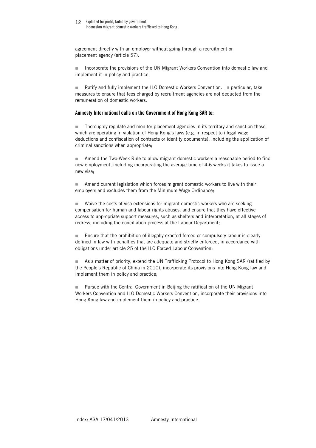agreement directly with an employer without going through a recruitment or placement agency (article 57).

 Incorporate the provisions of the UN Migrant Workers Convention into domestic law and implement it in policy and practice;

 Ratify and fully implement the ILO Domestic Workers Convention. In particular, take measures to ensure that fees charged by recruitment agencies are not deducted from the remuneration of domestic workers.

#### **Amnesty International calls on the Government of Hong Kong SAR to:**

 Thoroughly regulate and monitor placement agencies in its territory and sanction those which are operating in violation of Hong Kong's laws (e.g. in respect to illegal wage deductions and confiscation of contracts or identity documents), including the application of criminal sanctions when appropriate;

 Amend the Two-Week Rule to allow migrant domestic workers a reasonable period to find new employment, including incorporating the average time of 4-6 weeks it takes to issue a new visa;

 Amend current legislation which forces migrant domestic workers to live with their employers and excludes them from the Minimum Wage Ordinance;

■ Waive the costs of visa extensions for migrant domestic workers who are seeking compensation for human and labour rights abuses, and ensure that they have effective access to appropriate support measures, such as shelters and interpretation, at all stages of redress, including the conciliation process at the Labour Department;

 Ensure that the prohibition of illegally exacted forced or compulsory labour is clearly defined in law with penalties that are adequate and strictly enforced, in accordance with obligations under article 25 of the ILO Forced Labour Convention;

 As a matter of priority, extend the UN Trafficking Protocol to Hong Kong SAR (ratified by the People's Republic of China in 2010), incorporate its provisions into Hong Kong law and implement them in policy and practice;

 Pursue with the Central Government in Beijing the ratification of the UN Migrant Workers Convention and ILO Domestic Workers Convention, incorporate their provisions into Hong Kong law and implement them in policy and practice.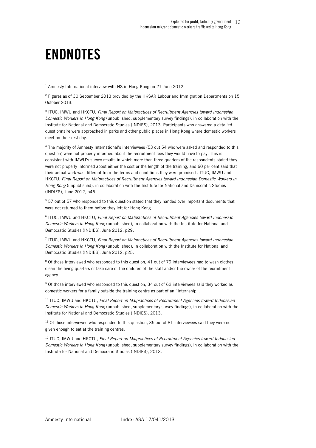# **ENDNOTES**

l

<sup>1</sup> Amnesty International interview with NS in Hong Kong on 21 June 2012.

<sup>2</sup> Figures as of 30 September 2013 provided by the HKSAR Labour and Immigration Departments on 15 October 2013.

3 ITUC, IMWU and HKCTU, *Final Report on Malpractices of Recruitment Agencies toward Indonesian Domestic Workers in Hong Kong* (unpublished, supplementary survey findings), in collaboration with the Institute for National and Democratic Studies (INDIES), 2013. Participants who answered a detailed questionnaire were approached in parks and other public places in Hong Kong where domestic workers meet on their rest day.

4 The majority of Amnesty International's interviewees (53 out 54 who were asked and responded to this question) were not properly informed about the recruitment fees they would have to pay. This is consistent with IMWU's survey results in which more than three quarters of the respondents stated they were not properly informed about either the cost or the length of the training, and 60 per cent said that their actual work was different from the terms and conditions they were promised . ITUC, IMWU and HKCTU, *Final Report on Malpractices of Recruitment Agencies toward Indonesian Domestic Workers in Hong Kong* (unpublished), in collaboration with the Institute for National and Democratic Studies (INDIES), June 2012, p46.

<sup>5</sup> 57 out of 57 who responded to this question stated that they handed over important documents that were not returned to them before they left for Hong Kong.

<sup>6</sup> ITUC, IMWU and HKCTU, Final Report on Malpractices of Recruitment Agencies toward Indonesian *Domestic Workers in Hong Kong* (unpublished), in collaboration with the Institute for National and Democratic Studies (INDIES), June 2012, p29.

7 ITUC, IMWU and HKCTU, *Final Report on Malpractices of Recruitment Agencies toward Indonesian Domestic Workers in Hong Kong* (unpublished), in collaboration with the Institute for National and Democratic Studies (INDIES), June 2012, p25.

<sup>8</sup> Of those interviewed who responded to this question, 41 out of 79 interviewees had to wash clothes, clean the living quarters or take care of the children of the staff and/or the owner of the recruitment agency.

<sup>9</sup> Of those interviewed who responded to this question, 34 out of 62 interviewees said they worked as domestic workers for a family outside the training centre as part of an "internship".

<sup>10</sup> ITUC, IMWU and HKCTU, *Final Report on Malpractices of Recruitment Agencies toward Indonesian Domestic Workers in Hong Kong* (unpublished, supplementary survey findings), in collaboration with the Institute for National and Democratic Studies (INDIES), 2013.

 $11$  Of those interviewed who responded to this question, 35 out of 81 interviewees said they were not given enough to eat at the training centres.

<sup>12</sup> ITUC, IMWU and HKCTU, *Final Report on Malpractices of Recruitment Agencies toward Indonesian Domestic Workers in Hong Kong* (unpublished, supplementary survey findings), in collaboration with the Institute for National and Democratic Studies (INDIES), 2013.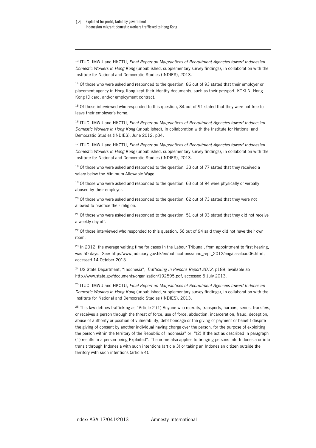1

<sup>13</sup> ITUC, IMWU and HKCTU, *Final Report on Malpractices of Recruitment Agencies toward Indonesian Domestic Workers in Hong Kong* (unpublished, supplementary survey findings), in collaboration with the Institute for National and Democratic Studies (INDIES), 2013.

<sup>14</sup> Of those who were asked and responded to the question, 86 out of 93 stated that their employer or placement agency in Hong Kong kept their identity documents, such as their passport, KTKLN, Hong Kong ID card, and/or employment contract.

<sup>15</sup> Of those interviewed who responded to this question, 34 out of 91 stated that they were not free to leave their employer's home.

<sup>16</sup> ITUC, IMWU and HKCTU, *Final Report on Malpractices of Recruitment Agencies toward Indonesian Domestic Workers in Hong Kong* (unpublished), in collaboration with the Institute for National and Democratic Studies (INDIES), June 2012, p34.

<sup>17</sup> ITUC, IMWU and HKCTU, *Final Report on Malpractices of Recruitment Agencies toward Indonesian Domestic Workers in Hong Kong* (unpublished, supplementary survey findings), in collaboration with the Institute for National and Democratic Studies (INDIES), 2013.

<sup>18</sup> Of those who were asked and responded to the question, 33 out of 77 stated that they received a salary below the Minimum Allowable Wage.

<sup>19</sup> Of those who were asked and responded to the question, 63 out of 94 were physically or verbally abused by their employer.

<sup>20</sup> Of those who were asked and responded to the question, 62 out of 73 stated that they were not allowed to practice their religion.

 $21$  Of those who were asked and responded to the question, 51 out of 93 stated that they did not receive a weekly day off.

 $22$  Of those interviewed who responded to this question, 56 out of 94 said they did not have their own room.

<sup>23</sup> In 2012, the average waiting time for cases in the Labour Tribunal, from appointment to first hearing, was 50 days. See: http://www.judiciary.gov.hk/en/publications/annu\_rept\_2012/eng/caseload06.html, accessed 14 October 2013.

<sup>24</sup> US State Department, "Indonesia", *Trafficking in Persons Report 2012*, p188, available at: http://www.state.gov/documents/organization/192595.pdf, accessed 5 July 2013.

<sup>25</sup> ITUC, IMWU and HKCTU, *Final Report on Malpractices of Recruitment Agencies toward Indonesian Domestic Workers in Hong Kong* (unpublished, supplementary survey findings), in collaboration with the Institute for National and Democratic Studies (INDIES), 2013.

 $26$  This law defines trafficking as "Article 2 (1) Anyone who recruits, transports, harbors, sends, transfers, or receives a person through the threat of force, use of force, abduction, incarceration, fraud, deception, abuse of authority or position of vulnerability, debt bondage or the giving of payment or benefit despite the giving of consent by another individual having charge over the person, for the purpose of exploiting the person within the territory of the Republic of Indonesia" or "(2) If the act as described in paragraph (1) results in a person being Exploited". The crime also applies to bringing persons into Indonesia or into transit through Indonesia with such intentions (article 3) or taking an Indonesian citizen outside the territory with such intentions (article 4).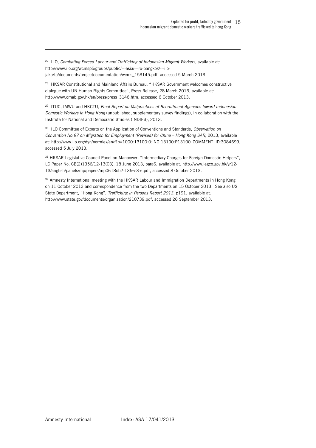<sup>27</sup> ILO*, Combating Forced Labour and Trafficking of Indonesian Migrant Workers*, available at: http://www.ilo.org/wcmsp5/groups/public/---asia/---ro-bangkok/---ilojakarta/documents/projectdocumentation/wcms\_153145.pdf, accessed 5 March 2013.

1

<sup>28</sup> HKSAR Constitutional and Mainland Affairs Bureau, "HKSAR Government welcomes constructive dialogue with UN Human Rights Committee", Press Release, 28 March 2013, available at: http://www.cmab.gov.hk/en/press/press\_3146.htm, accessed 6 October 2013.

<sup>29</sup> ITUC, IMWU and HKCTU, *Final Report on Malpractices of Recruitment Agencies toward Indonesian Domestic Workers in Hong Kong* (unpublished, supplementary survey findings), in collaboration with the Institute for National and Democratic Studies (INDIES), 2013.

<sup>30</sup> ILO Committee of Experts on the Application of Conventions and Standards, *Observation on Convention No.97 on Migration for Employment (Revised) for China – Hong Kong SAR*, 2013, available at: http://www.ilo.org/dyn/normlex/en/f?p=1000:13100:0::NO:13100:P13100\_COMMENT\_ID:3084699, accessed 5 July 2013.

<sup>31</sup> HKSAR Legislative Council Panel on Manpower, "Intermediary Charges for Foreign Domestic Helpers", LC Paper No. CB(2)1356/12-13(03), 18 June 2013, para6, available at: http://www.legco.gov.hk/yr12- 13/english/panels/mp/papers/mp0618cb2-1356-3-e.pdf, accessed 8 October 2013.

<sup>32</sup> Amnesty International meeting with the HKSAR Labour and Immigration Departments in Hong Kong on 11 October 2013 and correspondence from the two Departments on 15 October 2013. See also US State Department, "Hong Kong", *Trafficking in Persons Report 2013*, p191, available at: http://www.state.gov/documents/organization/210739.pdf, accessed 26 September 2013.